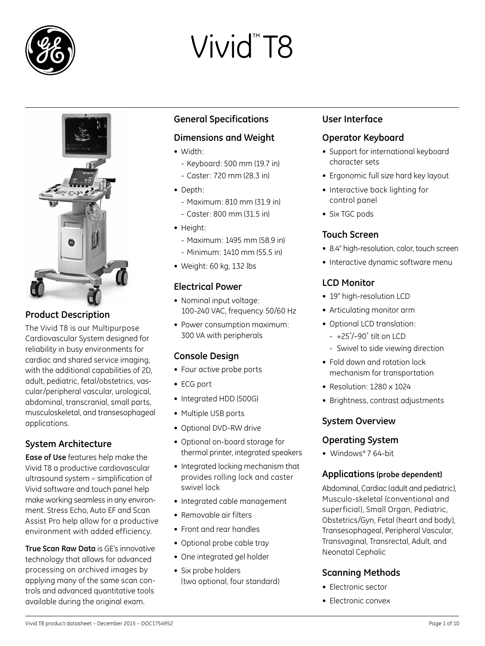

# Vivid<sup>™</sup>T8



# **Product Description**

The Vivid T8 is our Multipurpose Cardiovascular System designed for reliability in busy environments for cardiac and shared service imaging, with the additional capabilities of 2D, adult, pediatric, fetal/obstetrics, vascular/peripheral vascular, urological, abdominal, transcranial, small parts, musculoskeletal, and transesophageal applications.

# **System Architecture**

**Ease of Use** features help make the Vivid T8 a productive cardiovascular ultrasound system – simplification of Vivid software and touch panel help make working seamless in any environment. Stress Echo, Auto EF and Scan Assist Pro help allow for a productive environment with added efficiency.

**True Scan Raw Data** is GE's innovative technology that allows for advanced processing on archived images by applying many of the same scan controls and advanced quantitative tools available during the original exam.

# **General Specifications**

# **Dimensions and Weight**

- Width<sup>·</sup>
	- - Keyboard: 500 mm (19.7 in)
	- - Caster: 720 mm (28.3 in)
- Depth:
	- - Maximum: 810 mm (31.9 in)
	- - Caster: 800 mm (31.5 in)
- Height:
	- - Maximum: 1495 mm (58.9 in)
	- - Minimum: 1410 mm (55.5 in)
- • Weight: 60 kg, 132 lbs

# **Electrical Power**

- Nominal input voltage: 100-240 VAC, frequency 50/60 Hz
- Power consumption maximum: 300 VA with peripherals

# **Console Design**

- Four active probe ports
- • ECG port
- Integrated HDD (500G)
- Multiple USB ports
- Optional DVD-RW drive
- • Optional on-board storage for thermal printer, integrated speakers
- Integrated locking mechanism that provides rolling lock and caster swivel lock
- Integrated cable management
- • Removable air filters
- Front and rear handles
- Optional probe cable tray
- One integrated gel holder
- Six probe holders (two optional, four standard)

# **User Interface**

# **Operator Keyboard**

- Support for international keyboard character sets
- Ergonomic full size hard key layout
- Interactive back lighting for control panel
- Six TGC pods

# **Touch Screen**

- 8.4" high-resolution, color, touch screen
- Interactive dynamic software menu

# **LCD Monitor**

- 19" high-resolution LCD
- Articulating monitor arm
- • Optional LCD translation:
	- - +25˚/–90˚ tilt on LCD
	- Swivel to side viewing direction
- Fold down and rotation lock mechanism for transportation
- Resolution: 1280 × 1024
- Brightness, contrast adjustments

# **System Overview**

#### **Operating System**

• Windows® 7 64-bit

#### **Applications (probe dependent)**

Abdominal, Cardiac (adult and pediatric), Musculo-skeletal (conventional and superficial), Small Organ, Pediatric, Obstetrics/Gyn, Fetal (heart and body), Transesophageal, Peripheral Vascular, Transvaginal, Transrectal, Adult, and Neonatal Cephalic

# **Scanning Methods**

- Electronic sector
- Electronic convex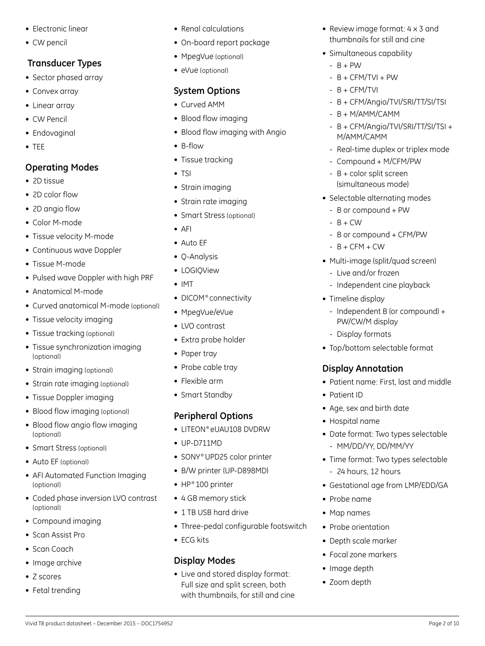- • Electronic linear
- CW pencil

# **Transducer Types**

- Sector phased array
- Convex array
- Linear array
- CW Pencil
- Endovaginal
- • TEE

# **Operating Modes**

- • 2D tissue
- 2D color flow
- 2D angio flow
- • Color M-mode
- Tissue velocity M-mode
- Continuous wave Doppler
- • Tissue M-mode
- Pulsed wave Doppler with high PRF
- Anatomical M-mode
- Curved anatomical M-mode (optional)
- Tissue velocity imaging
- Tissue tracking (optional)
- Tissue synchronization imaging (optional)
- Strain imaging (optional)
- Strain rate imaging (optional)
- Tissue Doppler imaging
- Blood flow imaging (optional)
- Blood flow angio flow imaging (optional)
- Smart Stress (optional)
- Auto EF (optional)
- AFI Automated Function Imaging (optional)
- Coded phase inversion LVO contrast (optional)
- Compound imaging
- Scan Assist Pro
- Scan Coach
- Image archive
- Z scores
- Fetal trending
- Renal calculations
- On-board report package
- MpegVue (optional)
- eVue (optional)

# **System Options**

- Curved AMM
- Blood flow imaging
- Blood flow imaging with Angio
- B-flow
- Tissue tracking
- TSI
- Strain imaging
- Strain rate imaging
- Smart Stress (optional)
- • AFI
- Auto EF
- O-Analysis
- LOGIOView
- • IMT
- DICOM® connectivity
- MpegVue/eVue
- • LVO contrast
- Extra probe holder
- Paper tray
- Probe cable tray
- Flexible arm
- Smart Standby

# **Peripheral Options**

- LITEON® eLIAU108 DVDRW
- • UP-D711MD
- SONY® UPD25 color printer
- B/W printer (UP-D898MD)
- HP® 100 printer
- 4 GB memory stick
- 1 TB USB hard drive
- Three-pedal configurable footswitch
- ECG kits

# **Display Modes**

• Live and stored display format: Full size and split screen, both with thumbnails, for still and cine

Vivid T8 product datasheet – December 2015 – DOC1754952 Page 2 of 10

- Review image format: 4 x 3 and thumbnails for still and cine
- Simultaneous capability
	- $-$  B + PW
	- $-B + CFM/TVI + PW$
	- $-B + CFM/TVI$
	- B + CFM/Angio/TVI/SRI/TT/SI/TSI
	- $-B + M/AMM/CAMM$
	- B + CFM/Angio/TVI/SRI/TT/SI/TSI + M/AMM/CAMM
	- Real-time duplex or triplex mode
	- Compound + M/CFM/PW
	- B + color split screen (simultaneous mode)
- Selectable alternating modes
	- B or compound + PW
	- $-$  B + CW
	- B or compound + CFM/PW
	- $-B + CFM + CW$
- Multi-image (split/quad screen)
	- Live and/or frozen
	- Independent cine playback
- Timeline display
	- Independent B (or compound) + PW/CW/M display

• Patient name: First, last and middle

• Date format: Two types selectable

• Time format: Two types selectable

• Gestational age from LMP/EDD/GA

- Display formats

**Display Annotation**

• Age, sex and birth date

- MM/DD/YY, DD/MM/YY

- 24 hours, 12 hours

• Patient ID

• Hospital name

• Probe name • Map names

• Image depth • Zoom depth

• Probe orientation • Depth scale marker • Focal zone markers

• Top/bottom selectable format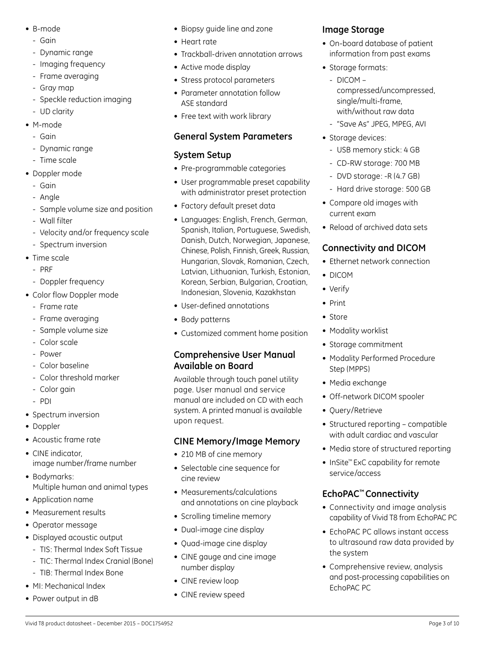- • B-mode
	- Gain
	- Dynamic range
	- Imaging frequency
	- Frame averaging
	- Gray map
	- Speckle reduction imaging
	- UD clarity
- M-mode
	- Gain
	- Dynamic range
	- Time scale
- • Doppler mode
	- Gain
	- Angle
	- Sample volume size and position
	- Wall filter
	- Velocity and/or frequency scale
	- Spectrum inversion
- Time scale
	- - PRF
	- Doppler frequency
- Color flow Doppler mode
	- Frame rate
	- Frame averaging
	- Sample volume size
	- Color scale
	- Power
	- Color baseline
	- Color threshold marker
	- Color gain
	- - PDI
- Spectrum inversion
- Doppler
- • Acoustic frame rate
- CINE indicator, image number/frame number
- Bodymarks: Multiple human and animal types
- • Application name
- Measurement results
- • Operator message
- • Displayed acoustic output
- TIS: Thermal Index Soft Tissue
- TIC: Thermal Index Cranial (Bone)
- TIB: Thermal Index Bone
- MI: Mechanical Index
- Power output in dB
- Biopsy guide line and zone
- • Heart rate
- Trackball-driven annotation arrows
- Active mode display
- Stress protocol parameters
- Parameter annotation follow ASE standard
- Free text with work library

# **General System Parameters**

# **System Setup**

- Pre-programmable categories
- User programmable preset capability with administrator preset protection
- Factory default preset data
- • Languages: English, French, German, Spanish, Italian, Portuguese, Swedish, Danish, Dutch, Norwegian, Japanese, Chinese, Polish, Finnish, Greek, Russian, Hungarian, Slovak, Romanian, Czech, Latvian, Lithuanian, Turkish, Estonian, Korean, Serbian, Bulgarian, Croatian, Indonesian, Slovenia, Kazakhstan
- • User-defined annotations
- Body patterns
- Customized comment home position

# **Comprehensive User Manual Available on Board**

Available through touch panel utility page. User manual and service manual are included on CD with each system. A printed manual is available upon request.

# **CINE Memory/Image Memory**

- 210 MB of cine memory
- Selectable cine sequence for cine review
- Measurements/calculations and annotations on cine playback
- Scrolling timeline memory
- Dual-image cine display
- • Quad-image cine display
- CINE gauge and cine image number display

Vivid T8 product datasheet – December 2015 – DOC1754952 Page 3 of 10

- CINE review loop
- CINE review speed

# **Image Storage**

- On-board database of patient information from past exams
- Storage formats:
	- $-$  DICOM  $$ compressed/uncompressed, single/multi-frame, with/without raw data
	- "Save As" JPEG, MPEG, AVI
- Storage devices:
	- USB memory stick: 4 GB
	- CD-RW storage: 700 MB
	- DVD storage: -R (4.7 GB)
	- Hard drive storage: 500 GB
- • Compare old images with current exam
- • Reload of archived data sets

# **Connectivity and DICOM**

- Ethernet network connection
- DICOM
- • Verify
- • Print
- • Store
- Modality worklist
- • Storage commitment
- Modality Performed Procedure Step (MPPS)
- Media exchange
- Off-network DICOM spooler
- Ouery/Retrieve

service/access

the system

EchoPAC PC

- Structured reporting compatible with adult cardiac and vascular
- • Media store of structured reporting

• InSite<sup>™</sup> ExC capability for remote

• Connectivity and image analysis capability of Vivid T8 from EchoPAC PC • EchoPAC PC allows instant access to ultrasound raw data provided by

• Comprehensive review, analysis and post-processing capabilities on

**EchoPAC™ Connectivity**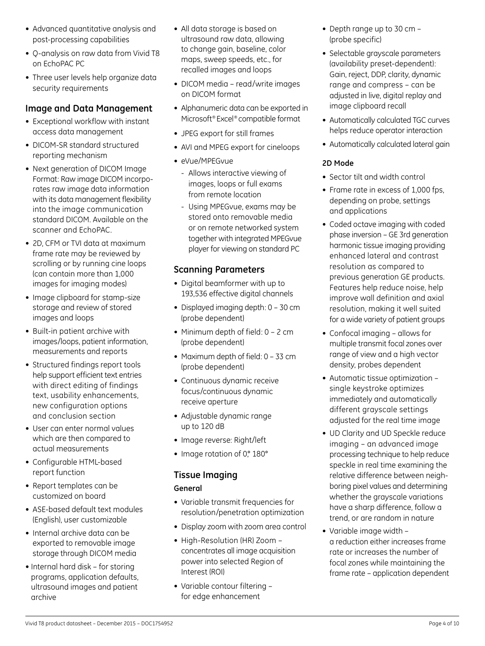- Advanced quantitative analysis and post-processing capabilities
- O-analysis on raw data from Vivid T8 on EchoPAC PC
- Three user levels help organize data security requirements

# **Image and Data Management**

- Exceptional workflow with instant access data management
- DICOM-SR standard structured reporting mechanism
- Next generation of DICOM Image Format: Raw image DICOM incorporates raw image data information with its data management flexibility into the image communication standard DICOM. Available on the scanner and EchoPAC.
- 2D, CFM or TVI data at maximum frame rate may be reviewed by scrolling or by running cine loops (can contain more than 1,000 images for imaging modes)
- Image clipboard for stamp-size storage and review of stored images and loops
- Built-in patient archive with images/loops, patient information, measurements and reports
- Structured findings report tools help support efficient text entries with direct editing of findings text, usability enhancements, new configuration options and conclusion section
- User can enter normal values which are then compared to actual measurements
- • Configurable HTML-based report function
- • Report templates can be customized on board
- ASE-based default text modules (English), user customizable
- Internal archive data can be exported to removable image storage through DICOM media
- Internal hard disk for storing programs, application defaults, ultrasound images and patient archive
- All data storage is based on ultrasound raw data, allowing to change gain, baseline, color maps, sweep speeds, etc., for recalled images and loops
- DICOM media read/write images on DICOM format
- Alphanumeric data can be exported in Microsoft® Excel® compatible format
- JPEG export for still frames
- AVI and MPEG export for cineloops
- eVue/MPEGvue
	- Allows interactive viewing of images, loops or full exams from remote location
	- Using MPEGvue, exams may be stored onto removable media or on remote networked system together with integrated MPEGvue player for viewing on standard PC

# **Scanning Parameters**

- • Digital beamformer with up to 193,536 effective digital channels
- Displayed imaging depth: 0 30 cm (probe dependent)
- Minimum depth of field:  $0 2$  cm (probe dependent)
- Maximum depth of field: 0 33 cm (probe dependent)
- Continuous dynamic receive focus/continuous dynamic receive aperture
- • Adjustable dynamic range up to 120 dB
- • Image reverse: Right/left
- Image rotation of 0,° 180°

# **Tissue Imaging**

#### **General**

- • Variable transmit frequencies for resolution/penetration optimization
- • Display zoom with zoom area control
- High-Resolution (HR) Zoom concentrates all image acquisition power into selected Region of Interest (ROI)
- • Variable contour filtering for edge enhancement
- Depth range up to 30 cm -(probe specific)
- Selectable grayscale parameters (availability preset-dependent): Gain, reject, DDP, clarity, dynamic range and compress – can be adjusted in live, digital replay and image clipboard recall
- Automatically calculated TGC curves helps reduce operator interaction
- Automatically calculated lateral gain

#### **2D Mode**

- Sector tilt and width control
- Frame rate in excess of 1,000 fps, depending on probe, settings and applications
- Coded octave imaging with coded phase inversion – GE 3rd generation harmonic tissue imaging providing enhanced lateral and contrast resolution as compared to previous generation GE products. Features help reduce noise, help improve wall definition and axial resolution, making it well suited for a wide variety of patient groups
- Confocal imaging allows for multiple transmit focal zones over range of view and a high vector density, probes dependent
- • Automatic tissue optimization single keystroke optimizes immediately and automatically different grayscale settings adjusted for the real time image
- UD Clarity and UD Speckle reduce imaging – an advanced image processing technique to help reduce speckle in real time examining the relative difference between neighboring pixel values and determining whether the grayscale variations have a sharp difference, follow a trend, or are random in nature
- • Variable image width a reduction either increases frame rate or increases the number of focal zones while maintaining the frame rate – application dependent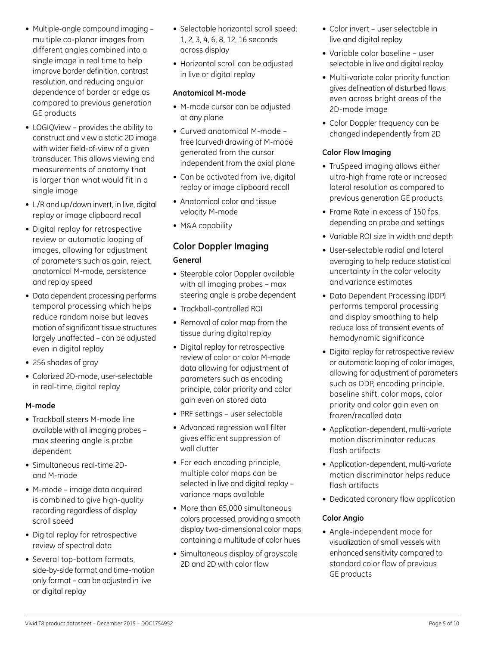- Multiple-angle compound imaging multiple co-planar images from different angles combined into a single image in real time to help improve border definition, contrast resolution, and reducing angular dependence of border or edge as compared to previous generation GE products
- LOGIQView provides the ability to construct and view a static 2D image with wider field-of-view of a given transducer. This allows viewing and measurements of anatomy that is larger than what would fit in a single image
- L/R and up/down invert, in live, digital replay or image clipboard recall
- • Digital replay for retrospective review or automatic looping of images, allowing for adjustment of parameters such as gain, reject, anatomical M-mode, persistence and replay speed
- Data dependent processing performs temporal processing which helps reduce random noise but leaves motion of significant tissue structures largely unaffected – can be adjusted even in digital replay
- • 256 shades of gray
- Colorized 2D-mode, user-selectable in real-time, digital replay

#### **M-mode**

- • Trackball steers M-mode line available with all imaging probes – max steering angle is probe dependent
- Simultaneous real-time 2Dand M-mode
- • M-mode image data acquired is combined to give high-quality recording regardless of display scroll speed
- • Digital replay for retrospective review of spectral data
- Several top-bottom formats, side-by-side format and time-motion only format – can be adjusted in live or digital replay
- Selectable horizontal scroll speed: 1, 2, 3, 4, 6, 8, 12, 16 seconds across display
- Horizontal scroll can be adjusted in live or digital replay

#### **Anatomical M-mode**

- M-mode cursor can be adjusted at any plane
- • Curved anatomical M-mode free (curved) drawing of M-mode generated from the cursor independent from the axial plane
- Can be activated from live, digital replay or image clipboard recall
- Anatomical color and tissue velocity M-mode
- M&A capability

# **Color Doppler Imaging**

#### **General**

- Steerable color Doppler available with all imaging probes – max steering angle is probe dependent
- • Trackball-controlled ROI
- Removal of color map from the tissue during digital replay
- • Digital replay for retrospective review of color or color M-mode data allowing for adjustment of parameters such as encoding principle, color priority and color gain even on stored data
- PRF settings user selectable
- Advanced regression wall filter gives efficient suppression of wall clutter
- For each encoding principle, multiple color maps can be selected in live and digital replay – variance maps available
- More than 65,000 simultaneous colors processed, providing a smooth display two-dimensional color maps containing a multitude of color hues
- Simultaneous display of grayscale 2D and 2D with color flow
- Color invert user selectable in live and digital replay
- • Variable color baseline user selectable in live and digital replay
- Multi-variate color priority function gives delineation of disturbed flows even across bright areas of the 2D-mode image
- Color Doppler frequency can be changed independently from 2D

#### **Color Flow Imaging**

- TruSpeed imaging allows either ultra-high frame rate or increased lateral resolution as compared to previous generation GE products
- Frame Rate in excess of 150 fps, depending on probe and settings
- • Variable ROI size in width and depth
- User-selectable radial and lateral averaging to help reduce statistical uncertainty in the color velocity and variance estimates
- Data Dependent Processing (DDP) performs temporal processing and display smoothing to help reduce loss of transient events of hemodynamic significance
- • Digital replay for retrospective review or automatic looping of color images, allowing for adjustment of parameters such as DDP, encoding principle, baseline shift, color maps, color priority and color gain even on frozen/recalled data
- • Application-dependent, multi-variate motion discriminator reduces flash artifacts
- Application-dependent, multi-variate motion discriminator helps reduce flash artifacts
- Dedicated coronary flow application

#### **Color Angio**

• Angle-independent mode for visualization of small vessels with enhanced sensitivity compared to standard color flow of previous GE products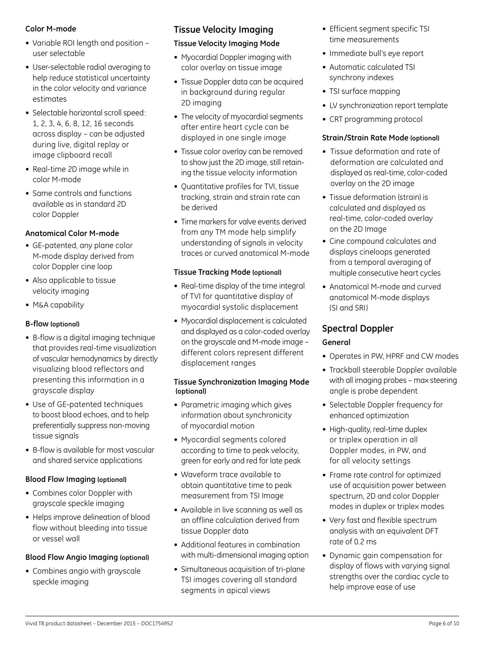#### **Color M-mode**

- Variable ROI length and position user selectable
- User-selectable radial averaging to help reduce statistical uncertainty in the color velocity and variance estimates
- Selectable horizontal scroll speed: 1, 2, 3, 4, 6, 8, 12, 16 seconds across display – can be adjusted during live, digital replay or image clipboard recall
- Real-time 2D image while in color M-mode
- Same controls and functions available as in standard 2D color Doppler

# **Anatomical Color M-mode**

- GE-patented, any plane color M-mode display derived from color Doppler cine loop
- Also applicable to tissue velocity imaging
- M&A capability

# **B-flow (optional)**

- B-flow is a digital imaging technique that provides real-time visualization of vascular hemodynamics by directly visualizing blood reflectors and presenting this information in a grayscale display
- Use of GE-patented techniques to boost blood echoes, and to help preferentially suppress non-moving tissue signals
- B-flow is available for most vascular and shared service applications

#### **Blood Flow Imaging (optional)**

- Combines color Doppler with grayscale speckle imaging
- Helps improve delineation of blood flow without bleeding into tissue or vessel wall

#### **Blood Flow Angio Imaging (optional)**

• Combines angio with grayscale speckle imaging

# **Tissue Velocity Imaging**

#### **Tissue Velocity Imaging Mode**

- Myocardial Doppler imaging with color overlay on tissue image
- Tissue Doppler data can be acquired in background during regular 2D imaging
- The velocity of myocardial segments after entire heart cycle can be displayed in one single image
- Tissue color overlay can be removed to show just the 2D image, still retaining the tissue velocity information
- • Quantitative profiles for TVI, tissue tracking, strain and strain rate can be derived
- Time markers for valve events derived from any TM mode help simplify understanding of signals in velocity traces or curved anatomical M-mode

#### **Tissue Tracking Mode (optional)**

- Real-time display of the time integral of TVI for quantitative display of myocardial systolic displacement
- Myocardial displacement is calculated and displayed as a color-coded overlay on the grayscale and M-mode image – different colors represent different displacement ranges

#### **Tissue Synchronization Imaging Mode (optional)**

- Parametric imaging which gives information about synchronicity of myocardial motion
- • Myocardial segments colored according to time to peak velocity, green for early and red for late peak
- • Waveform trace available to obtain quantitative time to peak measurement from TSI Image
- Available in live scanning as well as an offline calculation derived from tissue Doppler data
- Additional features in combination with multi-dimensional imaging option
- Simultaneous acquisition of tri-plane TSI images covering all standard segments in apical views
- Efficient segment specific TSI time measurements
- Immediate bull's eye report
- Automatic calculated TSI synchrony indexes
- TSI surface mapping
- LV synchronization report template
- CRT programming protocol

#### **Strain/Strain Rate Mode (optional)**

- Tissue deformation and rate of deformation are calculated and displayed as real-time, color-coded overlay on the 2D image
- Tissue deformation (strain) is calculated and displayed as real-time, color-coded overlay on the 2D Image
- Cine compound calculates and displays cineloops generated from a temporal averaging of multiple consecutive heart cycles
- Anatomical M-mode and curved anatomical M-mode displays (SI and SRI)

# **Spectral Doppler**

#### **General**

- Operates in PW, HPRF and CW modes
- • Trackball steerable Doppler available with all imaging probes – max steering angle is probe dependent
- Selectable Doppler frequency for enhanced optimization
- High-quality, real-time duplex or triplex operation in all Doppler modes, in PW, and for all velocity settings
- Frame rate control for optimized use of acquisition power between spectrum, 2D and color Doppler modes in duplex or triplex modes
- Very fast and flexible spectrum analysis with an equivalent DFT rate of 0.2 ms
- • Dynamic gain compensation for display of flows with varying signal strengths over the cardiac cycle to help improve ease of use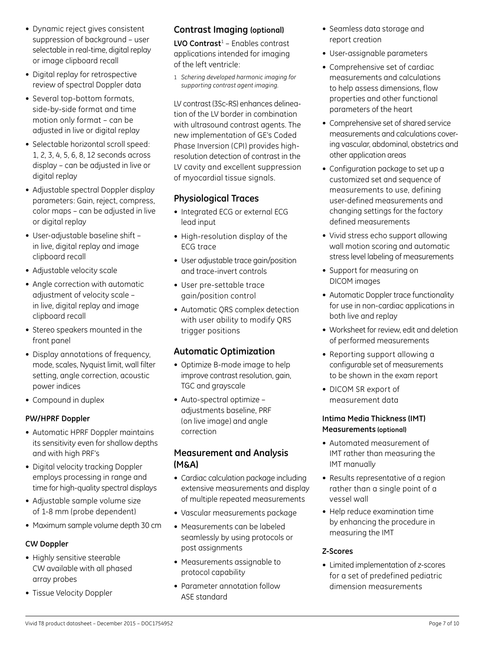- • Dynamic reject gives consistent suppression of background – user selectable in real-time, digital replay or image clipboard recall
- Digital replay for retrospective review of spectral Doppler data
- Several top-bottom formats, side-by-side format and time motion only format – can be adjusted in live or digital replay
- Selectable horizontal scroll speed: 1, 2, 3, 4, 5, 6, 8, 12 seconds across display – can be adjusted in live or digital replay
- Adjustable spectral Doppler display parameters: Gain, reject, compress, color maps – can be adjusted in live or digital replay
- • User-adjustable baseline shift in live, digital replay and image clipboard recall
- Adjustable velocity scale
- Angle correction with automatic adjustment of velocity scale – in live, digital replay and image clipboard recall
- Stereo speakers mounted in the front panel
- Display annotations of frequency, mode, scales, Nyquist limit, wall filter setting, angle correction, acoustic power indices
- Compound in duplex

#### **PW/HPRF Doppler**

- Automatic HPRF Doppler maintains its sensitivity even for shallow depths and with high PRF's
- Digital velocity tracking Doppler employs processing in range and time for high-quality spectral displays
- Adjustable sample volume size of 1-8 mm (probe dependent)
- Maximum sample volume depth 30 cm

#### **CW Doppler**

- Highly sensitive steerable CW available with all phased array probes
- Tissue Velocity Doppler

# **Contrast Imaging (optional)**

**LVO Contrast**<sup>1</sup> – Enables contrast applications intended for imaging of the left ventricle:

1 *Schering developed harmonic imaging for supporting contrast agent imaging.*

LV contrast (3Sc-RS) enhances delineation of the LV border in combination with ultrasound contrast agents. The new implementation of GE's Coded Phase Inversion (CPI) provides highresolution detection of contrast in the LV cavity and excellent suppression of myocardial tissue signals.

# **Physiological Traces**

- Integrated ECG or external ECG lead input
- High-resolution display of the ECG trace
- User adjustable trace gain/position and trace-invert controls
- • User pre-settable trace gain/position control
- Automatic QRS complex detection with user ability to modify QRS trigger positions

# **Automatic Optimization**

- Optimize B-mode image to help improve contrast resolution, gain, TGC and grayscale
- • Auto-spectral optimize adjustments baseline, PRF (on live image) and angle correction

# **Measurement and Analysis (M&A)**

- Cardiac calculation package including extensive measurements and display of multiple repeated measurements
- • Vascular measurements package
- Measurements can be labeled seamlessly by using protocols or post assignments
- Measurements assignable to protocol capability
- Parameter annotation follow ASE standard
- Seamless data storage and report creation
- • User-assignable parameters
- Comprehensive set of cardiac measurements and calculations to help assess dimensions, flow properties and other functional parameters of the heart
- Comprehensive set of shared service measurements and calculations covering vascular, abdominal, obstetrics and other application areas
- Configuration package to set up a customized set and sequence of measurements to use, defining user-defined measurements and changing settings for the factory defined measurements
- Vivid stress echo support allowing wall motion scoring and automatic stress level labeling of measurements
- Support for measuring on DICOM images
- Automatic Doppler trace functionality for use in non-cardiac applications in both live and replay
- Worksheet for review, edit and deletion of performed measurements
- Reporting support allowing a configurable set of measurements to be shown in the exam report
- • DICOM SR export of measurement data

#### **Intima Media Thickness (IMT) Measurements (optional)**

- • Automated measurement of IMT rather than measuring the IMT manually
- Results representative of a region rather than a single point of a vessel wall
- Help reduce examination time by enhancing the procedure in measuring the IMT

#### **Z-Scores**

• Limited implementation of z-scores for a set of predefined pediatric dimension measurements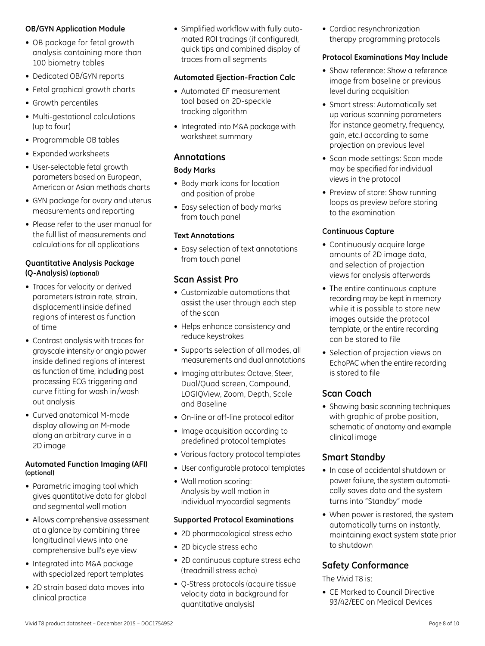#### **OB/GYN Application Module**

- OB package for fetal growth analysis containing more than 100 biometry tables
- Dedicated OB/GYN reports
- Fetal graphical growth charts
- Growth percentiles
- Multi-gestational calculations (up to four)
- Programmable OB tables
- • Expanded worksheets
- User-selectable fetal growth parameters based on European, American or Asian methods charts
- GYN package for ovary and uterus measurements and reporting
- Please refer to the user manual for the full list of measurements and calculations for all applications

#### **Quantitative Analysis Package (Q-Analysis) (optional)**

- Traces for velocity or derived parameters (strain rate, strain, displacement) inside defined regions of interest as function of time
- Contrast analysis with traces for grayscale intensity or angio power inside defined regions of interest as function of time, including post processing ECG triggering and curve fitting for wash in/wash out analysis
- Curved anatomical M-mode display allowing an M-mode along an arbitrary curve in a 2D image

#### **Automated Function Imaging (AFI) (optional)**

- Parametric imaging tool which gives quantitative data for global and segmental wall motion
- Allows comprehensive assessment at a glance by combining three longitudinal views into one comprehensive bull's eye view
- Integrated into M&A package with specialized report templates
- 2D strain based data moves into clinical practice

• Simplified workflow with fully automated ROI tracings (if configured), quick tips and combined display of traces from all segments

#### **Automated Ejection-Fraction Calc**

- • Automated EF measurement tool based on 2D-speckle tracking algorithm
- Integrated into M&A package with worksheet summary

# **Annotations**

#### **Body Marks**

- Body mark icons for location and position of probe
- Easy selection of body marks from touch panel

#### **Text Annotations**

• Easy selection of text annotations from touch panel

# **Scan Assist Pro**

- Customizable automations that assist the user through each step of the scan
- Helps enhance consistency and reduce keystrokes
- Supports selection of all modes, all measurements and dual annotations
- Imaging attributes: Octave, Steer, Dual/Quad screen, Compound, LogiqView, Zoom, Depth, Scale and Baseline
- On-line or off-line protocol editor
- Image acquisition according to predefined protocol templates
- Various factory protocol templates
- User configurable protocol templates
- • Wall motion scoring: Analysis by wall motion in individual myocardial segments

#### **Supported Protocol Examinations**

- 2D pharmacological stress echo
- 2D bicycle stress echo
- 2D continuous capture stress echo (treadmill stress echo)
- Q-Stress protocols (acquire tissue velocity data in background for quantitative analysis)

• Cardiac resynchronization therapy programming protocols

#### **Protocol Examinations May Include**

- Show reference: Show a reference image from baseline or previous level during acquisition
- Smart stress: Automatically set up various scanning parameters (for instance geometry, frequency, gain, etc.) according to same projection on previous level
- Scan mode settings: Scan mode may be specified for individual views in the protocol
- Preview of store: Show running loops as preview before storing to the examination

#### **Continuous Capture**

- Continuously acquire large amounts of 2D image data, and selection of projection views for analysis afterwards
- The entire continuous capture recording may be kept in memory while it is possible to store new images outside the protocol template, or the entire recording can be stored to file
- Selection of projection views on EchoPAC when the entire recording is stored to file

# **Scan Coach**

• Showing basic scanning techniques with graphic of probe position, schematic of anatomy and example clinical image

# **Smart Standby**

- In case of accidental shutdown or power failure, the system automatically saves data and the system turns into "Standby" mode
- When power is restored, the system automatically turns on instantly, maintaining exact system state prior to shutdown

# **Safety Conformance**

The Vivid T8 is:

• CE Marked to Council Directive 93/42/EEC on Medical Devices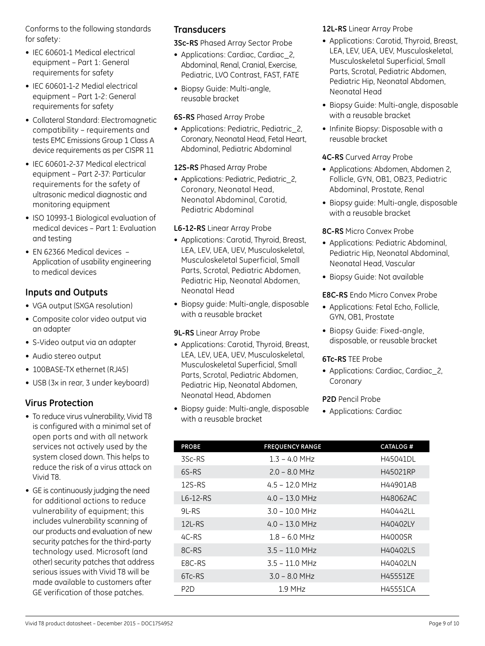Conforms to the following standards for safety :

- IEC 60601-1 Medical electrical equipment – Part 1: General requirements for safety
- IEC 60601-1-2 Medial electrical equipment – Part 1-2: General requirements for safety
- • Collateral Standard: Electromagnetic compatibility – requirements and tests EMC Emissions Group 1 Class A device requirements as per CISPR 11
- IEC 60601-2-37 Medical electrical equipment – Part 2-37: Particular requirements for the safety of ultrasonic medical diagnostic and monitoring equipment
- ISO 10993-1 Biological evaluation of medical devices – Part 1: Evaluation and testing
- EN 62366 Medical devices -Application of usability engineering to medical devices

# **Inputs and Outputs**

- VGA output (SXGA resolution)
- Composite color video output via an adapter
- S-Video output via an adapter
- • Audio stereo output
- 100BASE-TX ethernet (RJ45)
- USB (3x in rear, 3 under keyboard)

# **Virus Protection**

- To reduce virus vulnerability, Vivid T8 is configured with a minimal set of open ports and with all network services not actively used by the system closed down. This helps to reduce the risk of a virus attack on Vivid T8.
- GE is continuously judging the need for additional actions to reduce vulnerability of equipment; this includes vulnerability scanning of our products and evaluation of new security patches for the third-party technology used. Microsoft (and other) security patches that address serious issues with Vivid T8 will be made available to customers after GE verification of those patches.

# **Transducers**

**3Sc-RS** Phased Array Sector Probe

- Applications: Cardiac, Cardiac 2. Abdominal, Renal, Cranial, Exercise, Pediatric, LVO Contrast, FAST, FATE
- Biopsy Guide: Multi-angle, reusable bracket

#### **6S-RS** Phased Array Probe

• Applications: Pediatric, Pediatric\_2, Coronary, Neonatal Head, Fetal Heart, Abdominal, Pediatric Abdominal

#### **12S-RS** Phased Array Probe

• Applications: Pediatric, Pediatric 2, Coronary, Neonatal Head, Neonatal Abdominal, Carotid, Pediatric Abdominal

#### **L6-12-RS** Linear Array Probe

- Applications: Carotid, Thyroid, Breast, LEA, LEV, UEA, UEV, Musculoskeletal, Musculoskeletal Superficial, Small Parts, Scrotal, Pediatric Abdomen, Pediatric Hip, Neonatal Abdomen, Neonatal Head
- Biopsy guide: Multi-angle, disposable with a reusable bracket

#### **9L-RS** Linear Array Probe

- Applications: Carotid, Thyroid, Breast, LEA, LEV, UEA, UEV, Musculoskeletal, Musculoskeletal Superficial, Small Parts, Scrotal, Pediatric Abdomen, Pediatric Hip, Neonatal Abdomen, Neonatal Head, Abdomen
- Biopsy quide: Multi-angle, disposable with a reusable bracket

**12L-RS** Linear Array Probe

- Applications: Carotid, Thyroid, Breast, LEA, LEV, UEA, UEV, Musculoskeletal, Musculoskeletal Superficial, Small Parts, Scrotal, Pediatric Abdomen, Pediatric Hip, Neonatal Abdomen, Neonatal Head
- Biopsy Guide: Multi-angle, disposable with a reusable bracket
- Infinite Biopsy: Disposable with a reusable bracket

#### **4C-RS** Curved Array Probe

- Applications: Abdomen, Abdomen 2, Follicle, GYN, OB1, OB23, Pediatric Abdominal, Prostate, Renal
- Biopsy guide: Multi-angle, disposable with a reusable bracket

#### **8C-RS** Micro Convex Probe

- Applications: Pediatric Abdominal, Pediatric Hip, Neonatal Abdominal, Neonatal Head, Vascular
- Biopsy Guide: Not available

#### **E8C-RS** Endo Micro Convex Probe

- Applications: Fetal Echo, Follicle, GYN, OB1, Prostate
- Biopsy Guide: Fixed-angle, disposable, or reusable bracket

#### **6Tc-RS** TEE Probe

• Applications: Cardiac, Cardiac\_2, Coronary

#### **P2D** Pencil Probe

• Applications: Cardiac

| <b>PROBE</b>                    | <b>FREQUENCY RANGE</b> | <b>CATALOG#</b> |
|---------------------------------|------------------------|-----------------|
| 3Sc-RS                          | $1.3 - 4.0$ MHz        | H45041DL        |
| 6S-RS                           | $2.0 - 8.0$ MHz        | H45021RP        |
| $12S-RS$                        | $4.5 - 12.0$ MHz       | H44901AB        |
| L6-12-RS                        | $4.0 - 13.0$ MHz       | H48062AC        |
| $9I - RS$                       | $3.0 - 10.0$ MHz       | H40442LL        |
| 12L-RS                          | $4.0 - 13.0$ MHz       | H40402LY        |
| $4C-RS$                         | $1.8 - 6.0$ MHz        | H4000SR         |
| 8C-RS                           | $3.5 - 11.0$ MHz       | H40402LS        |
| F <sub>8</sub> C-R <sub>S</sub> | $3.5 - 11.0$ MHz       | H40402LN        |
| 6Tc-RS                          | $3.0 - 8.0$ MHz        | H45551ZE        |
| P2D                             | 1.9 MHz                | H45551CA        |